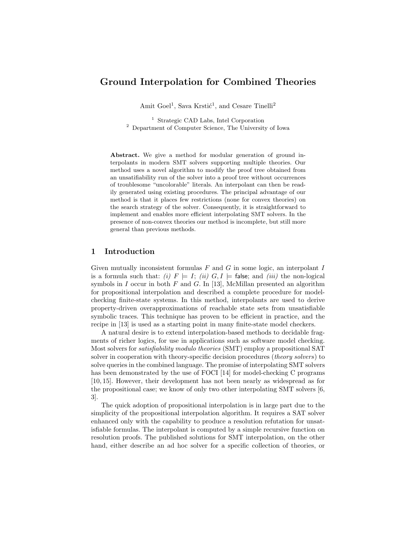# Ground Interpolation for Combined Theories

Amit Goel<sup>1</sup>, Sava Krstić<sup>1</sup>, and Cesare Tinelli<sup>2</sup>

<sup>1</sup> Strategic CAD Labs, Intel Corporation <sup>2</sup> Department of Computer Science, The University of Iowa

Abstract. We give a method for modular generation of ground interpolants in modern SMT solvers supporting multiple theories. Our method uses a novel algorithm to modify the proof tree obtained from an unsatifiability run of the solver into a proof tree without occurrences of troublesome "uncolorable" literals. An interpolant can then be readily generated using existing procedures. The principal advantage of our method is that it places few restrictions (none for convex theories) on the search strategy of the solver. Consequently, it is straightforward to implement and enables more efficient interpolating SMT solvers. In the presence of non-convex theories our method is incomplete, but still more general than previous methods.

# 1 Introduction

Given mutually inconsistent formulas  $F$  and  $G$  in some logic, an interpolant  $I$ is a formula such that: (i)  $F \models I$ ; (ii)  $G, I \models$  false; and (iii) the non-logical symbols in  $I$  occur in both  $F$  and  $G$ . In [13], McMillan presented an algorithm for propositional interpolation and described a complete procedure for modelchecking finite-state systems. In this method, interpolants are used to derive property-driven overapproximations of reachable state sets from unsatisfiable symbolic traces. This technique has proven to be efficient in practice, and the recipe in [13] is used as a starting point in many finite-state model checkers.

A natural desire is to extend interpolation-based methods to decidable fragments of richer logics, for use in applications such as software model checking. Most solvers for satisfiability modulo theories (SMT) employ a propositional SAT solver in cooperation with theory-specific decision procedures (*theory solvers*) to solve queries in the combined language. The promise of interpolating SMT solvers has been demonstrated by the use of FOCI [14] for model-checking C programs [10, 15]. However, their development has not been nearly as widespread as for the propositional case; we know of only two other interpolating SMT solvers [6, 3].

The quick adoption of propositional interpolation is in large part due to the simplicity of the propositional interpolation algorithm. It requires a SAT solver enhanced only with the capability to produce a resolution refutation for unsatisfiable formulas. The interpolant is computed by a simple recursive function on resolution proofs. The published solutions for SMT interpolation, on the other hand, either describe an ad hoc solver for a specific collection of theories, or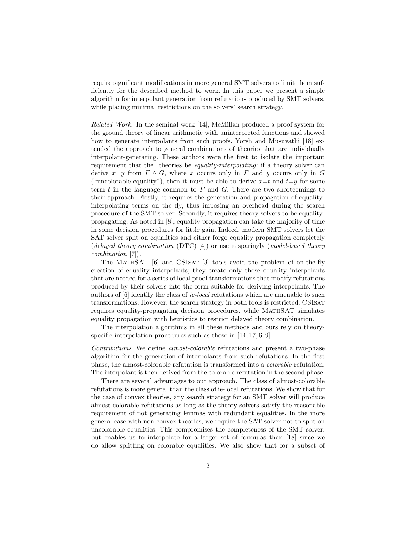require significant modifications in more general SMT solvers to limit them sufficiently for the described method to work. In this paper we present a simple algorithm for interpolant generation from refutations produced by SMT solvers, while placing minimal restrictions on the solvers' search strategy.

Related Work. In the seminal work [14], McMillan produced a proof system for the ground theory of linear arithmetic with uninterpreted functions and showed how to generate interpolants from such proofs. Yorsh and Musuvathi [18] extended the approach to general combinations of theories that are individually interpolant-generating. These authors were the first to isolate the important requirement that the theories be equality-interpolating: if a theory solver can derive  $x=y$  from  $F \wedge G$ , where x occurs only in F and y occurs only in G ("uncolorable equality"), then it must be able to derive  $x=t$  and  $t=y$  for some term  $t$  in the language common to  $F$  and  $G$ . There are two shortcomings to their approach. Firstly, it requires the generation and propagation of equalityinterpolating terms on the fly, thus imposing an overhead during the search procedure of the SMT solver. Secondly, it requires theory solvers to be equalitypropagating. As noted in [8], equality propagation can take the majority of time in some decision procedures for little gain. Indeed, modern SMT solvers let the SAT solver split on equalities and either forgo equality propagation completely (delayed theory combination  $(DTC)$  [4]) or use it sparingly (model-based theory combination [7]).

The MATHSAT [6] and CSISAT [3] tools avoid the problem of on-the-fly creation of equality interpolants; they create only those equality interpolants that are needed for a series of local proof transformations that modify refutations produced by their solvers into the form suitable for deriving interpolants. The authors of [6] identify the class of ie-local refutations which are amenable to such transformations. However, the search strategy in both tools is restricted. CSIsat requires equality-propagating decision procedures, while MATHSAT simulates equality propagation with heuristics to restrict delayed theory combination.

The interpolation algorithms in all these methods and ours rely on theoryspecific interpolation procedures such as those in  $[14, 17, 6, 9]$ .

Contributions. We define almost-colorable refutations and present a two-phase algorithm for the generation of interpolants from such refutations. In the first phase, the almost-colorable refutation is transformed into a colorable refutation. The interpolant is then derived from the colorable refutation in the second phase.

There are several advantages to our approach. The class of almost-colorable refutations is more general than the class of ie-local refutations. We show that for the case of convex theories, any search strategy for an SMT solver will produce almost-colorable refutations as long as the theory solvers satisfy the reasonable requirement of not generating lemmas with redundant equalities. In the more general case with non-convex theories, we require the SAT solver not to split on uncolorable equalities. This compromises the completeness of the SMT solver, but enables us to interpolate for a larger set of formulas than [18] since we do allow splitting on colorable equalities. We also show that for a subset of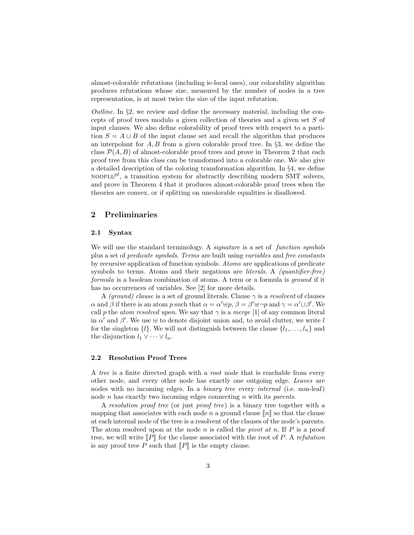almost-colorable refutations (including ie-local ones), our colorability algorithm produces refutations whose size, measured by the number of nodes in a tree representation, is at most twice the size of the input refutation.

Outline. In  $\S2$ , we review and define the necessary material, including the concepts of proof trees modulo a given collection of theories and a given set S of input clauses. We also define colorability of proof trees with respect to a partition  $S = A \cup B$  of the input clause set and recall the algorithm that produces an interpolant for  $A, B$  from a given colorable proof tree. In §3, we define the class  $\mathcal{P}(A, B)$  of almost-colorable proof trees and prove in Theorem 2 that each proof tree from this class can be transformed into a colorable one. We also give a detailed description of the coloring transformation algorithm. In §4, we define nodpllpf, a transition system for abstractly describing modern SMT solvers, and prove in Theorem 4 that it produces almost-colorable proof trees when the theories are convex, or if splitting on uncolorable equalities is disallowed.

# 2 Preliminaries

#### 2.1 Syntax

We will use the standard terminology. A *signature* is a set of *function symbols* plus a set of predicate symbols. Terms are built using variables and free constants by recursive application of function symbols. Atoms are applications of predicate symbols to terms. Atoms and their negations are *literals*. A *(quantifier-free)* formula is a boolean combination of atoms. A term or a formula is ground if it has no occurrences of variables. See [2] for more details.

A (ground) clause is a set of ground literals. Clause  $\gamma$  is a resolvent of clauses  $\alpha$  and  $\beta$  if there is an atom p such that  $\alpha = \alpha' \uplus p$ ,  $\beta = \beta' \uplus \neg p$  and  $\gamma = \alpha' \cup \beta'$ . We call p the *atom resolved upon*. We say that  $\gamma$  is a *merge* [1] of any common literal in  $\alpha'$  and  $\beta'$ . We use  $\forall$  to denote disjoint union and, to avoid clutter, we write l for the singleton  $\{l\}$ . We will not distinguish between the clause  $\{l_1, \ldots, l_n\}$  and the disjunction  $l_1 \vee \cdots \vee l_n$ .

#### 2.2 Resolution Proof Trees

A tree is a finite directed graph with a root node that is reachable from every other node, and every other node has exactly one outgoing edge. Leaves are nodes with no incoming edges. In a binary tree every internal (i.e. non-leaf) node *n* has exactly two incoming edges connecting *n* with its *parents*.

A resolution proof tree (or just proof tree) is a binary tree together with a mapping that associates with each node n a ground clause  $\llbracket n \rrbracket$  so that the clause at each internal node of the tree is a resolvent of the clauses of the node's parents. The atom resolved upon at the node n is called the *pivot at n*. If  $P$  is a proof tree, we will write  $\llbracket P \rrbracket$  for the clause associated with the root of P. A refutation is any proof tree P such that  $\llbracket P \rrbracket$  is the empty clause.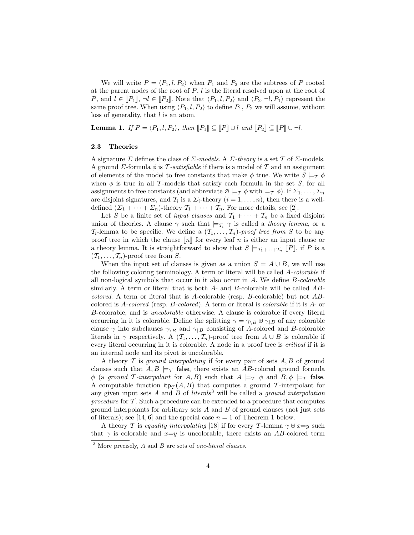We will write  $P = \langle P_1, l, P_2 \rangle$  when  $P_1$  and  $P_2$  are the subtrees of P rooted at the parent nodes of the root of  $P$ ,  $l$  is the literal resolved upon at the root of P, and  $l \in [P_1], \neg l \in [P_2]$ . Note that  $\langle P_1, l, P_2 \rangle$  and  $\langle P_2, \neg l, P_1 \rangle$  represent the same proof tree. When using  $\langle P_1, l, P_2 \rangle$  to define  $P_1, P_2$  we will assume, without loss of generality, that  $l$  is an atom.

**Lemma 1.** If  $P = \langle P_1, l, P_2 \rangle$ , then  $\llbracket P_1 \rrbracket \subseteq \llbracket P \rrbracket \cup l$  and  $\llbracket P_2 \rrbracket \subseteq \llbracket P \rrbracket \cup \neg l$ .

#### 2.3 Theories

A signature  $\Sigma$  defines the class of  $\Sigma$ -models. A  $\Sigma$ -theory is a set T of  $\Sigma$ -models. A ground  $\Sigma$ -formula  $\phi$  is  $\mathcal T$ -satisfiable if there is a model of  $\mathcal T$  and an assignment of elements of the model to free constants that make  $\phi$  true. We write  $S \models_{\mathcal{T}} \phi$ when  $\phi$  is true in all T-models that satisfy each formula in the set S, for all assignments to free constants (and abbreviate  $\varnothing \models_{\mathcal{T}} \phi$  with  $\models_{\mathcal{T}} \phi$ ). If  $\Sigma_1, \ldots, \Sigma_n$ are disjoint signatures, and  $\mathcal{T}_i$  is a  $\Sigma_i$ -theory  $(i = 1, ..., n)$ , then there is a welldefined  $(\Sigma_1 + \cdots + \Sigma_n)$ -theory  $\mathcal{T}_1 + \cdots + \mathcal{T}_n$ . For more details, see [2].

Let S be a finite set of *input clauses* and  $\mathcal{T}_1 + \cdots + \mathcal{T}_n$  be a fixed disjoint union of theories. A clause  $\gamma$  such that  $\models_{\mathcal{T}_i} \gamma$  is called a *theory lemma*, or a  $\mathcal{T}_i$ -lemma to be specific. We define a  $(\mathcal{T}_1, \ldots, \mathcal{T}_n)$ -proof tree from S to be any proof tree in which the clause  $\llbracket n \rrbracket$  for every leaf n is either an input clause or a theory lemma. It is straightforward to show that  $S \models_{\tau_1 + \dots + \tau_n} [P]$ , if P is a  $(\tau \tau)$  proof tree from S  $(\mathcal{T}_1,\ldots,\mathcal{T}_n)$ -proof tree from S.

When the input set of clauses is given as a union  $S = A \cup B$ , we will use the following coloring terminology. A term or literal will be called A-colorable if all non-logical symbols that occur in it also occur in A. We define B-colorable similarly. A term or literal that is both  $A$ - and  $B$ -colorable will be called  $AB$ colored. A term or literal that is A-colorable (resp. B-colorable) but not ABcolored is A-colored (resp. B-colored). A term or literal is colorable if it is A- or B-colorable, and is uncolorable otherwise. A clause is colorable if every literal occurring in it is colorable. Define the splitting  $\gamma = \gamma_{\setminus B} \uplus \gamma_{\downarrow B}$  of any colorable clause  $\gamma$  into subclauses  $\gamma_{\text{B}}$  and  $\gamma_{\text{B}}$  consisting of A-colored and B-colorable literals in  $\gamma$  respectively. A  $(T_1, \ldots, T_n)$ -proof tree from  $A \cup B$  is colorable if every literal occurring in it is colorable. A node in a proof tree is critical if it is an internal node and its pivot is uncolorable.

A theory  $\mathcal T$  is ground interpolating if for every pair of sets  $A, B$  of ground clauses such that  $A, B \models_{\mathcal{T}}$  false, there exists an AB-colored ground formula  $\phi$  (a ground T-interpolant for A, B) such that  $A \models_{\mathcal{T}} \phi$  and  $B, \phi \models_{\mathcal{T}}$  false. A computable function  $itp_{\mathcal{T}}(A, B)$  that computes a ground T-interpolant for any given input sets  $A$  and  $B$  of *literals*<sup>3</sup> will be called a *ground interpolation* procedure for  $\mathcal T$ . Such a procedure can be extended to a procedure that computes ground interpolants for arbitrary sets  $A$  and  $B$  of ground clauses (not just sets of literals); see [14, 6] and the special case  $n = 1$  of Theorem 1 below.

A theory T is equality interpolating [18] if for every T-lemma  $\gamma \oplus x=y$  such that  $\gamma$  is colorable and  $x=y$  is uncolorable, there exists an AB-colored term

 $3$  More precisely,  $A$  and  $B$  are sets of *one-literal clauses*.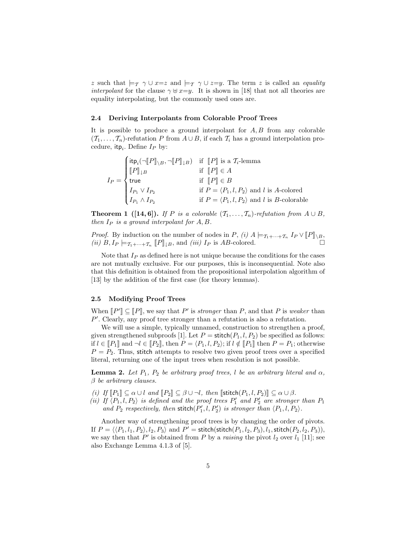z such that  $\models_{\mathcal{T}} \gamma \cup x = z$  and  $\models_{\mathcal{T}} \gamma \cup z = y$ . The term z is called an *equality interpolant* for the clause  $\gamma \oplus x=y$ . It is shown in [18] that not all theories are equality interpolating, but the commonly used ones are.

#### 2.4 Deriving Interpolants from Colorable Proof Trees

It is possible to produce a ground interpolant for  $A, B$  from any colorable  $(T_1, \ldots, T_n)$ -refutation P from  $A \cup B$ , if each  $T_i$  has a ground interpolation procedure, it $\mathsf{p}_i$ . Define  $I_P$  by:

$$
I_P = \begin{cases} \operatorname{itp}_i(\neg [\![P]\!]\backslash_B, \neg [\![P]\!]\!]\scriptstyle\downarrow B) & \text{if } [\![P]\!] \text{ is a } \mathcal{T}_i\text{-lemma} \\ \llbracket P \rrbracket \downarrow B & \text{if } [\![P]\!] \in A \\ \operatorname{true} & \text{if } [\![P]\!] \in B \\ I_{P_1} \vee I_{P_2} & \text{if } P = \langle P_1, l, P_2 \rangle \text{ and } l \text{ is } A\text{-colored} \\ I_{P_1} \wedge I_{P_2} & \text{if } P = \langle P_1, l, P_2 \rangle \text{ and } l \text{ is } B\text{-colorable} \end{cases}
$$

**Theorem 1** ([14, 6]). If P is a colorable  $(T_1, \ldots, T_n)$ -refutation from  $A \cup B$ , then  $I_P$  is a ground interpolant for  $A, B$ .

Proof. By induction on the number of nodes in P, (i)  $A \models_{\tau_1 + \cdots + \tau_n} I_P \vee [P] \setminus_B$ ,<br>(ii)  $B \subseteq L_{\tau_1} \models_{\tau_2} \subset \mathbb{F}P[1] \subseteq \text{and } (iii) \subseteq L_{\tau_1} \text{ is a B solored}$ (ii)  $B, I_P \models_{\tau_1 + \dots + \tau_n} [P]_{\downarrow B}$ , and (iii)  $I_P$  is  $AB$ -colored.

Note that  $I_P$  as defined here is not unique because the conditions for the cases are not mutually exclusive. For our purposes, this is inconsequential. Note also that this definition is obtained from the propositional interpolation algorithm of [13] by the addition of the first case (for theory lemmas).

#### 2.5 Modifying Proof Trees

When  $[[P]] \subseteq [[P]]$ , we say that P' is *stronger* than P, and that P is *weaker* than  $P'$  Closely any proof tree stronger than a refutation is also a refutation  $P'$ . Clearly, any proof tree stronger than a refutation is also a refutation.

We will use a simple, typically unnamed, construction to strengthen a proof, given strengthened subproofs [1]. Let  $P = \mathsf{stitch}(P_1, l, P_2)$  be specified as follows: if  $l \in [P_1]$  and  $\neg l \in [P_2]$ , then  $P = \langle P_1, l, P_2 \rangle$ ; if  $l \notin [P_1]$  then  $P = P_1$ ; otherwise  $P = P_2$ . Thus, stitch attempts to resolve two given proof trees over a specified literal, returning one of the input trees when resolution is not possible.

**Lemma 2.** Let  $P_1$ ,  $P_2$  be arbitrary proof trees, l be an arbitrary literal and  $\alpha$ ,  $\beta$  be arbitrary clauses.

- (i) If  $\llbracket P_1 \rrbracket \subseteq \alpha \cup l$  and  $\llbracket P_2 \rrbracket \subseteq \beta \cup \neg l$ , then  $\llbracket \mathsf{stitch}(P_1, l, P_2) \rrbracket \subseteq \alpha \cup \beta$ .
- (ii) If  $\langle P_1, l, P_2 \rangle$  is defined and the proof trees  $P'_1$  and  $P'_2$  are stronger than  $P_1$ and  $P_2$  respectively, then stitch( $P'_1$ , l,  $P'_2$ ) is stronger than  $\langle P_1, l, P_2 \rangle$ .

Another way of strengthening proof trees is by changing the order of pivots. If  $P = \langle \langle P_1, l_1, P_2 \rangle, l_2, P_3 \rangle$  and  $P' = \text{stitch}(\text{stitch}(P_1, l_2, P_3), l_1, \text{stitch}(P_2, l_2, P_3)),$ we say then that  $P'$  is obtained from P by a *raising* the pivot  $l_2$  over  $l_1$  [11]; see also Exchange Lemma 4.1.3 of [5].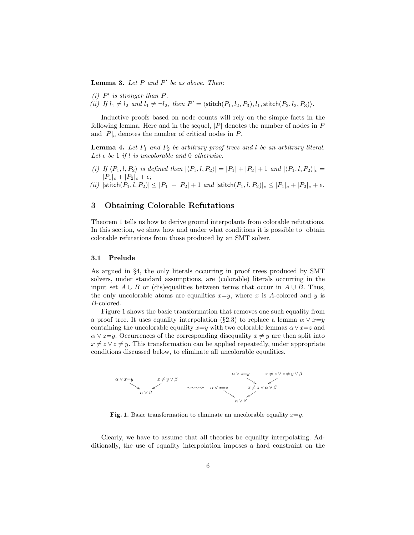**Lemma 3.** Let  $P$  and  $P'$  be as above. Then:

(i)  $P'$  is stronger than  $P$ .

(ii) If  $l_1 \neq l_2$  and  $l_1 \neq \neg l_2$ , then  $P' = \langle \text{stitch}(P_1, l_2, P_3), l_1, \text{stitch}(P_2, l_2, P_3) \rangle$ .

Inductive proofs based on node counts will rely on the simple facts in the following lemma. Here and in the sequel,  $|P|$  denotes the number of nodes in  $P$ and  $|P|_c$  denotes the number of critical nodes in P.

**Lemma 4.** Let  $P_1$  and  $P_2$  be arbitrary proof trees and l be an arbitrary literal. Let  $\epsilon$  be 1 if l is uncolorable and 0 otherwise.

(i) If  $\langle P_1, l, P_2 \rangle$  is defined then  $|\langle P_1, l, P_2 \rangle| = |P_1| + |P_2| + 1$  and  $|\langle P_1, l, P_2 \rangle|_c =$  $|P_1|_c + |P_2|_c + \epsilon;$ 

(ii)  $|\text{stitch}(P_1, l, P_2)| \leq |P_1| + |P_2| + 1$  and  $|\text{stitch}(P_1, l, P_2)|_c \leq |P_1|_c + |P_2|_c + \epsilon$ .

# 3 Obtaining Colorable Refutations

Theorem 1 tells us how to derive ground interpolants from colorable refutations. In this section, we show how and under what conditions it is possible to obtain colorable refutations from those produced by an SMT solver.

#### 3.1 Prelude

As argued in §4, the only literals occurring in proof trees produced by SMT solvers, under standard assumptions, are (colorable) literals occurring in the input set  $A \cup B$  or (dis)equalities between terms that occur in  $A \cup B$ . Thus, the only uncolorable atoms are equalities  $x=y$ , where x is A-colored and y is B-colored.

Figure 1 shows the basic transformation that removes one such equality from a proof tree. It uses equality interpolation (§2.3) to replace a lemma  $\alpha \vee x=y$ containing the uncolorable equality  $x=y$  with two colorable lemmas  $\alpha \vee x=z$  and  $\alpha \vee z=y$ . Occurrences of the corresponding disequality  $x \neq y$  are then split into  $x \neq z \vee z \neq y$ . This transformation can be applied repeatedly, under appropriate conditions discussed below, to eliminate all uncolorable equalities.



**Fig. 1.** Basic transformation to eliminate an uncolorable equality  $x=y$ .

Clearly, we have to assume that all theories be equality interpolating. Additionally, the use of equality interpolation imposes a hard constraint on the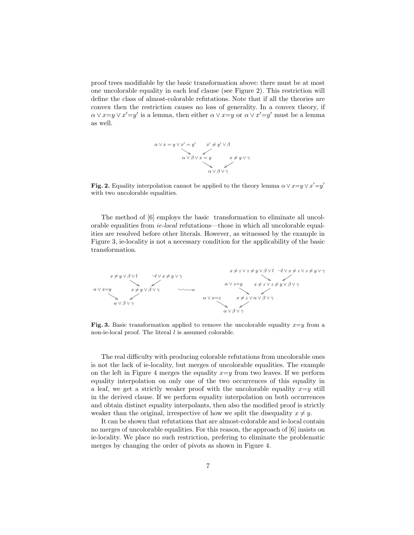proof trees modifiable by the basic transformation above: there must be at most one uncolorable equality in each leaf clause (see Figure 2). This restriction will define the class of almost-colorable refutations. Note that if all the theories are convex then the restriction causes no loss of generality. In a convex theory, if  $\alpha \vee x=y \vee x'=y'$  is a lemma, then either  $\alpha \vee x=y$  or  $\alpha \vee x'=y'$  must be a lemma as well.



Fig. 2. Equality interpolation cannot be applied to the theory lemma  $\alpha \vee x=y \vee x'=y'$ with two uncolorable equalities.

The method of [6] employs the basic transformation to eliminate all uncolorable equalities from ie-local refutations—those in which all uncolorable equalities are resolved before other literals. However, as witnessed by the example in Figure 3, ie-locality is not a necessary condition for the applicability of the basic transformation.



Fig. 3. Basic transformation applied to remove the uncolorable equality  $x=y$  from a non-ie-local proof. The literal  $l$  is assumed colorable.

The real difficulty with producing colorable refutations from uncolorable ones is not the lack of ie-locality, but merges of uncolorable equalities. The example on the left in Figure 4 merges the equality  $x=y$  from two leaves. If we perform equality interpolation on only one of the two occurrences of this equality in a leaf, we get a strictly weaker proof with the uncolorable equality  $x=y$  still in the derived clause. If we perform equality interpolation on both occurrences and obtain distinct equality interpolants, then also the modified proof is strictly weaker than the original, irrespective of how we split the disequality  $x \neq y$ .

It can be shown that refutations that are almost-colorable and ie-local contain no merges of uncolorable equalities. For this reason, the approach of [6] insists on ie-locality. We place no such restriction, prefering to eliminate the problematic merges by changing the order of pivots as shown in Figure 4.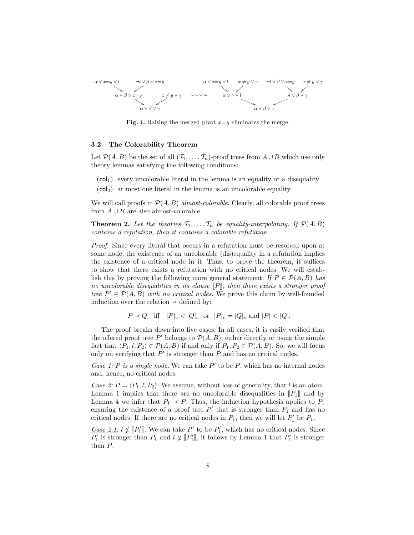

Fig. 4. Raising the merged pivot  $x=y$  eliminates the merge.

#### 3.2 The Colorability Theorem

Let  $\mathcal{P}(A, B)$  be the set of all  $(\mathcal{T}_1, \ldots, \mathcal{T}_n)$ -proof trees from  $A \cup B$  which use only theory lemmas satisfying the following conditions:

- $\left(\text{col}_1\right)$  every uncolorable literal in the lemma is an equality or a disequality
- $(col<sub>2</sub>)$  at most one literal in the lemma is an uncolorable equality

We will call proofs in  $\mathcal{P}(A, B)$  almost-colorable. Clearly, all colorable proof trees from  $A \cup B$  are also almost-colorable.

**Theorem 2.** Let the theories  $T_1, \ldots, T_n$  be equality-interpolating. If  $\mathcal{P}(A, B)$ contains a refutation, then it contains a colorable refutation.

Proof. Since every literal that occurs in a refutation must be resolved upon at some node, the existence of an uncolorable (dis)equality in a refutation implies the existence of a critical node in it. Thus, to prove the theorem, it suffices to show that there exists a refutation with no critical nodes. We will establish this by proving the following more general statement: If  $P \in \mathcal{P}(A, B)$  has no uncolorable disequalities in its clause  $\llbracket P \rrbracket$ , then there exists a stronger proof tree  $P' \in \mathcal{P}(A, B)$  with no critical nodes. We prove this claim by well-founded induction over the relation  $\prec$  defined by:

 $P \prec Q$  iff  $|P|_c < |Q|_c$  or  $|P|_c = |Q|_c$  and  $|P| < |Q|$ .

The proof breaks down into five cases. In all cases, it is easily verified that the offered proof tree  $P'$  belongs to  $P(A, B)$ , either directly or using the simple fact that  $\langle P_1, l, P_2 \rangle \in \mathcal{P}(A, B)$  if and only if  $P_1, P_2 \in \mathcal{P}(A, B)$ . So, we will focus only on verifying that  $P'$  is stronger than  $P$  and has no critical nodes.

Case 1: P is a single node. We can take  $P'$  to be P, which has no internal nodes and, hence, no critical nodes.

Case 2:  $P = \langle P_1, l, P_2 \rangle$ . We assume, without loss of generality, that l is an atom. Lemma 1 implies that there are no uncolorable disequalities in  $\llbracket P_1 \rrbracket$  and by Lemma 4 we infer that  $P_1 \prec P$ . Thus, the induction hypothesis applies to  $P_1$ ensuring the existence of a proof tree  $P'_1$  that is stronger than  $P_1$  and has no critical nodes. If there are no critical nodes in  $P_1$ , then we will let  $P'_1$  be  $P_1$ .

Case 2.1:  $l \notin [P'_1]$ . We can take P' to be  $P'_1$ , which has no critical nodes. Since  $P'_1$  is stronger than  $P_1$  and  $l \notin [P']$  it follows by Lamma 1 that  $P'_1$  is stronger  $P'_1$  is stronger than  $P_1$  and  $l \notin [P'_1]$ , it follows by Lemma 1 that  $P'_1$  is stronger than  $P$ than P.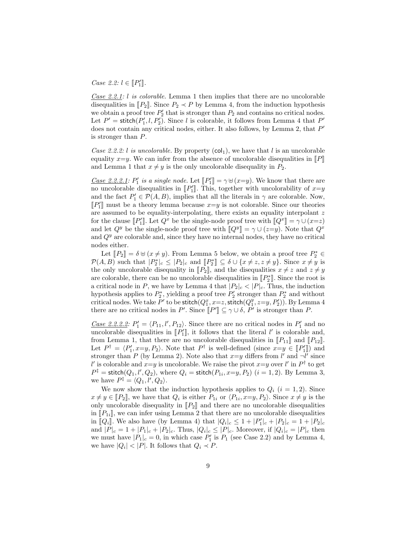# Case 2.2:  $l \in [P'_1]$ .

Case 2.2.1: l is colorable. Lemma 1 then implies that there are no uncolorable disequalities in  $\llbracket P_2 \rrbracket$ . Since  $P_2 \prec P$  by Lemma 4, from the induction hypothesis we obtain a proof tree  $P_2'$  that is stronger than  $P_2$  and contains no critical nodes. Let  $P' = \text{stitch}(P'_1, l, P'_2)$ . Since l is colorable, it follows from Lemma 4 that  $P'$ does not contain any critical nodes, either. It also follows, by Lemma 2, that  $P'$ is stronger than P.

Case 2.2.2: l is uncolorable. By property  $(\text{col}_1)$ , we have that l is an uncolorable equality  $x=y$ . We can infer from the absence of uncolorable disequalities in  $\llbracket P \rrbracket$ and Lemma 1 that  $x \neq y$  is the only uncolorable disequality in  $P_2$ .

Case 2.2.2.1:  $P'_1$  is a single node. Let  $[[P'_1]] = \gamma \uplus (x=y)$ . We know that there are<br>no uncolorable discounting in  $[[P']]]$ . This, together with uncolorability of  $x=y$ . no uncolorable disequalities in  $[P'_1]$ . This, together with uncolorability of  $x=y$  and the feet  $P' \subset \mathcal{D}(A, B)$  implies that all the literals in  $\alpha$  are selected. Now and the fact  $P'_1 \in \mathcal{P}(A, B)$ , implies that all the literals in  $\gamma$  are colorable. Now,  $\llbracket P_1' \rrbracket$  must be a theory lemma because  $x=y$  is not colorable. Since our theories are assumed to be equality-interpolating, there exists an equality interpolant z for the clause  $[[P_1']]$ . Let  $Q^x$  be the single-node proof tree with  $[[Q^x]] = \gamma \cup (x=z)$ and let  $Q^y$  be the single-node proof tree with  $[[Q^y]] = \gamma \cup (z=y)$ . Note that  $Q^x$ <br>and  $Q^y$  are colorable and singe thay have no internal nodes, they have no critical and  $Q<sup>y</sup>$  are colorable and, since they have no internal nodes, they have no critical nodes either.

Let  $[[P_2] = \delta \cup (x \neq y)$ . From Lemma 5 below, we obtain a proof tree  $P_2^* \in A \cap B$  and  $[[P^*] \subset [P_1] \cap B^*] \subset \delta \cup \{x \neq z, z \neq y\}$ . Since  $x \neq y$  is  $\mathcal{P}(A, B)$  such that  $|P_2^*|_c \leq |P_2|_c$  and  $[P_2^*] \subseteq \delta \cup \{x \neq z, z \neq y\}$ . Since  $x \neq y$  is<br>the only uncelerable discounting  $\mathbb{E}[P_1]$  and the discounting  $x \neq z$  and  $z \neq y$ the only uncolorable disequality in  $\llbracket P_2 \rrbracket$ , and the disequalities  $x \neq z$  and  $z \neq y$ are colorable, there can be no uncolorable disequalities in  $[P_2^*]$ . Since the root is a critical node in P, we have by Lemma 4 that  $|P_2|_c < |P|_c$ . Thus, the induction hypothesis applies to  $P_2^*$ , yielding a proof tree  $P_2'$  stronger than  $P_2^*$  and without critical nodes. We take  $P'$  to be stitch $(Q_1^x,x{=}z,{\sf{stitch}}(Q_1^y,z{=}y,P_2'))$ . By Lemma 4 there are no critical nodes in  $P'$ . Since  $[[P']] \subseteq \gamma \cup \delta$ ,  $P'$  is stronger than P.

Case 2.2.2.2:  $P'_1 = \langle P_{11}, l', P_{12} \rangle$ . Since there are no critical nodes in  $P'_1$  and no uncolorable disequalities in  $[P_1^{\dagger}]$ , it follows that the literal l' is colorable and,<br>from Lemma 1, that there are no uncolorable discountiing in  $[PL, \mathbb{L}]$  and  $[PL, \mathbb{L}]$ from Lemma 1, that there are no uncolorable disequalities in  $\llbracket P_{11} \rrbracket$  and  $\llbracket P_{12} \rrbracket$ . Let  $P^{\dagger} = \langle P_1', x=y, P_2 \rangle$ . Note that  $P^{\dagger}$  is well-defined (since  $x=y \in [P_1']$ ) and<br>stronger than  $P_1(x)$  low Lamma 2). Note also that  $x=y$  differs from  $I_1'$  and  $-I_1'$  since stronger than P (by Lemma 2). Note also that  $x=y$  differs from l' and  $\neg l'$  since l' is colorable and  $x=y$  is uncolorable. We raise the pivot  $x=y$  over l' in  $P^{\dagger}$  to get  $P^{\ddagger} = \text{stitch}(Q_1, l', Q_2), \text{ where } Q_i = \text{stitch}(P_{1i}, x=y, P_2) \ (i = 1, 2). \text{ By Lemma 3,}$ we have  $P^{\ddagger} = \langle Q_1, l', Q_2 \rangle$ .

We now show that the induction hypothesis applies to  $Q_i$  ( $i = 1, 2$ ). Since  $x \neq y \in [P_2]$ , we have that  $Q_i$  is either  $P_{1i}$  or  $\langle P_{1i}, x=y, P_2 \rangle$ . Since  $x \neq y$  is the only uncolorable disequality in  $\llbracket P_2 \rrbracket$  and there are no uncolorable disequalities in  $[P_{1i}]$ , we can infer using Lemma 2 that there are no uncolorable disequalities in  $[Q_i]$ . We also have (by Lemma 4) that  $|Q_i|_c \leq 1 + |P'_1|_c + |P_2|_c = 1 + |P_2|_c$ <br>and  $|P| = 1 + |P_1| + |P_2|$ . Thus  $|Q_1| \leq |P|$ . Mergover, if  $|Q_1| = |P|$ , then and  $|P|_c = 1 + |P_1|_c + |P_2|_c$ . Thus,  $|Q_i|_c \leq |P|_c$ . Moreover, if  $|Q_i|_c = |P|_c$  then we must have  $|P_1|_c = 0$ , in which case  $P'_1$  is  $P_1$  (see Case 2.2) and by Lemma 4, we have  $|Q_i| < |P|$ . It follows that  $Q_i \prec P$ .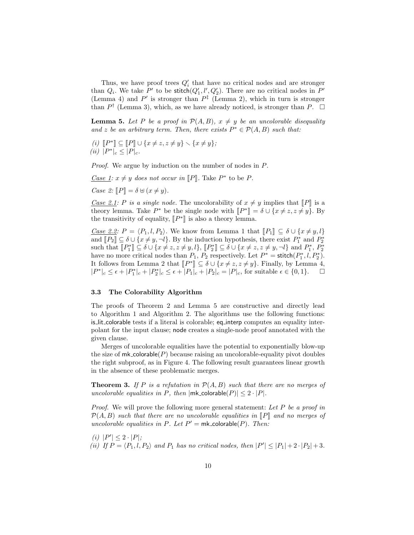Thus, we have proof trees  $Q_i'$  that have no critical nodes and are stronger than  $Q_i$ . We take P' to be stitch( $Q'_1, l', Q'_2$ ). There are no critical nodes in P' (Lemma 4) and  $P'$  is stronger than  $P^{\ddagger}$  (Lemma 2), which in turn is stronger than  $P^{\dagger}$  (Lemma 3), which, as we have already noticed, is stronger than P.  $\Box$ 

**Lemma 5.** Let P be a proof in  $\mathcal{P}(A, B)$ ,  $x \neq y$  be an uncolorable disequality and z be an arbitrary term. Then, there exists  $P^* \in \mathcal{P}(A, B)$  such that:

(i) 
$$
[P^*] \subseteq [P] \cup \{x \neq z, z \neq y\} \setminus \{x \neq y\};
$$
  
(ii)  $|P^*|_c \leq |P|_c.$ 

Proof. We argue by induction on the number of nodes in P.

<u>Case 1</u>:  $x \neq y$  does not occur in [P]. Take  $P^*$  to be P.

Case 2:  $\llbracket P \rrbracket = \delta \uplus (x \neq y).$ 

Case 2.1: P is a single node. The uncolorability of  $x \neq y$  implies that  $\llbracket P \rrbracket$  is a theory lemma. Take  $P^*$  be the single node with  $[[P^*]] = \delta \cup \{x \neq z, z \neq y\}$ . By the transitivity of equality,  $[\![P^*]\!]$  is also a theory lemma.

<u>Case 2.2</u>:  $P = \langle P_1, l, P_2 \rangle$ . We know from Lemma 1 that  $[[P_1]] \subseteq \delta \cup \{x \neq y, l\}$ and  $[P_2] \subseteq \delta \cup \{x \neq y, \neg l\}$ . By the induction hypothesis, there exist  $P_1^*$  and  $P_2^*$ <br>sugh that  $\mathbb{R}^{*}\cap \mathbb{R}^{*} \subseteq \delta \cup \{x \neq z, \neg z \neq u, l\}$ .  $\mathbb{R}^{*}\cap \mathbb{R}^{*} \subseteq \delta \cup \{x \neq z, \neg z \neq u, l\}$  and  $P_1^* \subseteq P_1^*$ . such that  $[P_1^*] \subseteq \delta \cup \{x \neq z, z \neq y, l\}$ ,  $[P_2^*] \subseteq \delta \cup \{x \neq z, z \neq y, \neg l\}$  and  $P_1^*, P_2^*$ <br>here no more quitied nodes than  $P_1, P_2^*$  reconotively Let  $P_1^* = \text{citich}(P_1^* | P_2^*)$ have no more critical nodes than  $P_1$ ,  $P_2$  respectively. Let  $P^* = \text{stitch}(P_1^*, l, P_2^*)$ . It follows from Lemma 2 that  $[P^*] \subseteq \delta \cup \{x \neq z, z \neq y\}$ . Finally, by Lemma 4,  $P^* \subseteq \epsilon + |P^*| \subseteq \epsilon + |P| + |P| - |P|$  for guitable  $\epsilon \in \{0, 1\}$  $|P^*|_c \leq \epsilon + |P_1^*|_c + |P_2^*|_c \leq \epsilon + |P_1|_c + |P_2|_c = |P|_c$ , for suitable  $\epsilon \in \{0, 1\}$ .  $\Box$ 

#### 3.3 The Colorability Algorithm

The proofs of Theorem 2 and Lemma 5 are constructive and directly lead to Algorithm 1 and Algorithm 2. The algorithms use the following functions: is lit colorable tests if a literal is colorable; eq interp computes an equality interpolant for the input clause; node creates a single-node proof annotated with the given clause.

Merges of uncolorable equalities have the potential to exponentially blow-up the size of  $mk$ -colorable $(P)$  because raising an uncolorable-equality pivot doubles the right subproof, as in Figure 4. The following result guarantees linear growth in the absence of these problematic merges.

**Theorem 3.** If P is a refutation in  $\mathcal{P}(A, B)$  such that there are no merges of uncolorable equalities in P, then  $|\text{mk\_colorable}(P)| \leq 2 \cdot |P|$ .

Proof. We will prove the following more general statement: Let P be a proof in  $\mathcal{P}(A, B)$  such that there are no uncolorable equalities in  $\llbracket P \rrbracket$  and no merges of uncolorable equalities in P. Let  $P' = \textsf{mk\_colorable}(P)$ . Then:

(*i*)  $|P'| \leq 2 \cdot |P|$ ; (ii) If  $P = \langle P_1, l, P_2 \rangle$  and  $P_1$  has no critical nodes, then  $|P'| \leq |P_1| + 2 \cdot |P_2| + 3$ .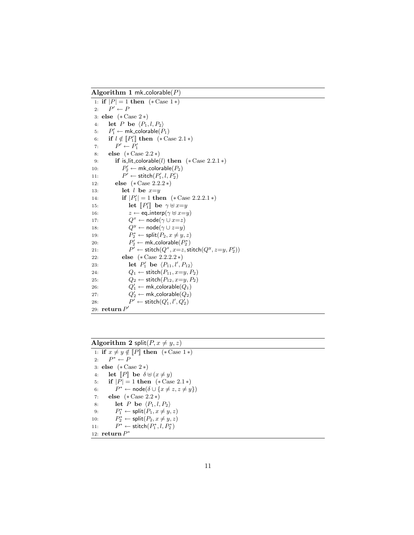Algorithm 1 mk\_colorable( $P$ )

1: if  $|P| = 1$  then  $(* Case 1*)$  $2:$  $P' \leftarrow P$ 3: else (∗ Case 2 ∗) 4: let P be  $\langle P_1, l, P_2 \rangle$ 5:  $P'_1 \leftarrow \textsf{mk\_colorable}(P_1)$ 6: if  $l \notin [P'_1]$  then  $(* \text{Case } 2.1*)$ 7:  $P' \leftarrow P'_1$ 8: else (∗ Case 2.2 ∗) 9: **if is\_lit\_colorable(l) then** (\* Case 2.2.1 \*) 10:  $P'_2 \leftarrow \mathsf{mk\_colorable}(P_2)$  $11:$  $\mathcal{O}' \leftarrow \mathsf{stitch}(P'_1, l, P'_2)$ 12: else (∗ Case 2.2.2 ∗) 13: let  $l$  be  $x=y$ 14: **if**  $|P'_1| = 1$  **then**  $(* \text{Case } 2.2.2.1*)$ 15: let  $[P'_1]$  be  $\gamma \uplus x=y$ <br>16 16:  $z \leftarrow \text{eq} \text{_.interp}(\gamma \uplus x=y)$ 17:  $Q^x \leftarrow \text{node}(\gamma \cup x = z)$ 18:  $Q^y \leftarrow \text{node}(\gamma \cup z = y)$ 19:  $P_2^*$  ← split $(P_2, x \neq y, z)$  $20:$  $Q'_2 \leftarrow$  mk\_colorable $(P_2^*)$  $21:$  $\mathcal{O}' \leftarrow \text{stitch}(Q^x, x=z, \text{stitch}(Q^y, z=y, P_2'))$ 22: else (∗ Case 2.2.2.2 ∗) 23: **let**  $P'_1$  **be**  $\langle P_{11}, l', P_{12} \rangle$ 24:  $Q_1 \leftarrow \text{stitch}(P_{11}, x=y, P_2)$ 25:  $Q_2 \leftarrow \text{stitch}(P_{12}, x=y, P_2)$ 26: Q  $\mathcal{C}_1' \leftarrow \mathsf{mk\_colorable}(Q_1)$  $27:$  $\mathcal{C}_2' \leftarrow \mathsf{mk\_colorable}(Q_2)$  $28:$  $\mathcal{C}' \leftarrow \mathsf{stitch}(Q'_1, l', Q'_2)$ 29:  $\operatorname{return} P'$ 

Algorithm 2 split( $P, x \neq y, z$ )

1: if  $x \neq y \notin [P]$  then  $(* \text{Case} 1*)$ <br>2:  $P^* \leftarrow P$ 2:  $P^* \leftarrow P$ 3: else (∗ Case 2 ∗) 4: **let**  $[P]$  be  $\delta \uplus (x \neq y)$ <br>5: **if**  $|P| = 1$  then  $(*$  Case if  $|P| = 1$  then  $(* Case 2.1*)$ 6:  $P^* \leftarrow \text{node}(\delta \cup \{x \neq z, z \neq y\})$ 7: else (∗ Case 2.2 ∗) 8: let P be  $\langle P_1, l, P_2 \rangle$ 9:  $P_1^* \leftarrow \text{split}(P_1, x \neq y, z)$  $10:$  $P_2^*$  ← split $(P_2, x \neq y, z)$  $11:$ \*  $\leftarrow$  stitch $(P_1^*, l, P_2^*)$ 12:  $\operatorname{return} P^*$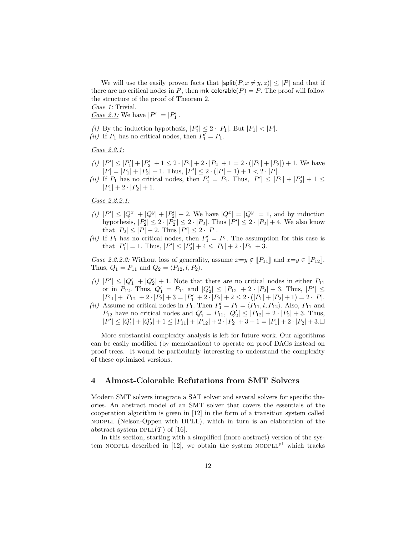We will use the easily proven facts that  $|\text{split}(P, x \neq y, z)| \leq |P|$  and that if there are no critical nodes in P, then  $mk\text{-colorable}(P) = P$ . The proof will follow the structure of the proof of Theorem 2. Case 1: Trivial.

<u>Case 2.1</u>: We have  $|P'| = |P'_1|$ .

(i) By the induction hypothesis,  $|P'_1| \leq 2 \cdot |P_1|$ . But  $|P_1| < |P|$ .

(*ii*) If  $P_1$  has no critical nodes, then  $P'_1 = P_1$ .

Case 2.2.1:

- (i)  $|P'| \leq |P'_1| + |P'_2| + 1 \leq 2 \cdot |P_1| + 2 \cdot |P_2| + 1 = 2 \cdot (|P_1| + |P_2|) + 1$ . We have  $|P| = |P_1| + |P_2| + 1$ . Thus,  $|P'| \le 2 \cdot (|P| - 1) + 1 < 2 \cdot |P|$ .
- (*ii*) If  $P_1$  has no critical nodes, then  $P'_1 = P_1$ . Thus,  $|P'| \leq |P_1| + |P'_2| + 1 \leq$  $|P_1| + 2 \cdot |P_2| + 1.$

Case 2.2.2.1:

- (i)  $|P'| \leq |Q^x| + |Q^y| + |P'_2| + 2$ . We have  $|Q^x| = |Q^y| = 1$ , and by induction hypothesis,  $|P'_2| \leq 2 \cdot |P_2^*| \leq 2 \cdot |P_2|$ . Thus  $|P'| \leq 2 \cdot |P_2| + 4$ . We also know that  $|P_2| \leq |P| - 2$ . Thus  $|P'| \leq 2 \cdot |P|$ .
- (ii) If  $P_1$  has no critical nodes, then  $P_1' = P_1$ . The assumption for this case is that  $|P'_1| = 1$ . Thus,  $|P'| \le |P'_2| + 4 \le |P_1| + 2 \cdot |P_2| + 3$ .

Case 2.2.2.2: Without loss of generality, assume  $x=y \notin [P_{11}]$  and  $x=y \in [P_{12}]$ . Thus,  $Q_1 = P_{11}$  and  $Q_2 = \langle P_{12}, l, P_2 \rangle$ .

- (i)  $|P'| \leq |Q'_1| + |Q'_2| + 1$ . Note that there are no critical nodes in either  $P_{11}$ or in  $P_{12}$ . Thus,  $Q'_1 = P_{11}$  and  $|Q'_2| \leq |P_{12}| + 2 \cdot |P_2| + 3$ . Thus,  $|P'| \leq$  $|P_{11}| + |P_{12}| + 2 \cdot |P_2| + 3 = |P'_1| + 2 \cdot |P_2| + 2 \leq 2 \cdot (|P_1| + |P_2| + 1) = 2 \cdot |P|.$
- (*ii*) Assume no critical nodes in  $P_1$ . Then  $P'_1 = P_1 = \langle P_{11}, l, P_{12} \rangle$ . Also,  $P_{11}$  and  $P_{12}$  have no critical nodes and  $Q'_1 = P_{11}$ ,  $|Q'_2| \leq |P_{12}| + 2 \cdot |P_2| + 3$ . Thus,  $|P'| \leq |Q'_1| + |Q'_2| + 1 \leq |P_{11}| + |P_{12}| + 2 \cdot |P_2| + 3 + 1 = |P_1| + 2 \cdot |P_2| + 3. \Box$

More substantial complexity analysis is left for future work. Our algorithms can be easily modified (by memoization) to operate on proof DAGs instead on proof trees. It would be particularly interesting to understand the complexity of these optimized versions.

# 4 Almost-Colorable Refutations from SMT Solvers

Modern SMT solvers integrate a SAT solver and several solvers for specific theories. An abstract model of an SMT solver that covers the essentials of the cooperation algorithm is given in [12] in the form of a transition system called nodpll (Nelson-Oppen with DPLL), which in turn is an elaboration of the abstract system DPLL $(\mathcal{T})$  of [16].

In this section, starting with a simplified (more abstract) version of the system NODPLL described in  $[12]$ , we obtain the system NODPLL<sup>pf</sup> which tracks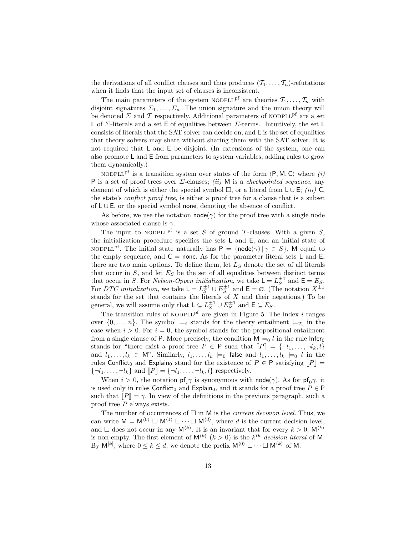the derivations of all conflict clauses and thus produces  $(\mathcal{T}_1, \ldots, \mathcal{T}_n)$ -refutations when it finds that the input set of clauses is inconsistent.

The main parameters of the system NODPLL<sup>pf</sup> are theories  $\mathcal{T}_1, \ldots, \mathcal{T}_n$  with disjoint signatures  $\Sigma_1, \ldots, \Sigma_n$ . The union signature and the union theory will be denoted  $\Sigma$  and  $\mathcal T$  respectively. Additional parameters of NODPLL<sup>pf</sup> are a set L of  $\Sigma$ -literals and a set E of equalities between  $\Sigma$ -terms. Intuitively, the set L consists of literals that the SAT solver can decide on, and E is the set of equalities that theory solvers may share without sharing them with the SAT solver. It is not required that L and E be disjoint. (In extensions of the system, one can also promote L and E from parameters to system variables, adding rules to grow them dynamically.)

NODPLL<sup>pf</sup> is a transition system over states of the form  $\langle P, M, C \rangle$  where  $(i)$ P is a set of proof trees over  $\Sigma$ -clauses; *(ii)* M is a *checkpointed sequence*, any element of which is either the special symbol  $\Box$ , or a literal from L  $\cup$  E; *(iii)* C, the state's conflict proof tree, is either a proof tree for a clause that is a subset of L ∪ E, or the special symbol none, denoting the absence of conflict.

As before, we use the notation  $\mathsf{node}(\gamma)$  for the proof tree with a single node whose associated clause is  $\gamma$ .

The input to NODPLL<sup>pf</sup> is a set S of ground T-clauses. With a given S, the initialization procedure specifies the sets L and E, and an initial state of NODPLL<sup>pf</sup>. The initial state naturally has  $P = \{node(\gamma) | \gamma \in S\}$ , M equal to the empty sequence, and  $C =$  none. As for the parameter literal sets L and E, there are two main options. To define them, let  $L<sub>S</sub>$  denote the set of all literals that occur in  $S$ , and let  $E_S$  be the set of all equalities between distinct terms that occur in S. For *Nelson-Oppen initialization*, we take  $\mathsf{L} = L_S^{\pm 1}$  and  $\mathsf{E} = E_S$ . For *DTC initialization*, we take  $L = L_S^{\pm 1} \cup E_S^{\pm 1}$  and  $\mathsf{E} = \emptyset$ . (The notation  $X^{\pm 1}$ stands for the set that contains the literals of X and their negations.) To be general, we will assume only that  $L \subseteq L_S^{\pm 1} \cup E_S^{\pm 1}$  and  $E \subseteq E_S$ .

The transition rules of NODPLL<sup>pf</sup> are given in Figure 5. The index  $i$  ranges over  $\{0, \ldots, n\}$ . The symbol  $\models_i$  stands for the theory entailment  $\models_{\mathcal{T}_i}$  in the case when  $i > 0$ . For  $i = 0$ , the symbol stands for the propositional entailment from a single clause of P. More precisely, the condition  $M \models_0 l$  in the rule Infer stands for "there exist a proof tree  $P \in \mathsf{P}$  such that  $\llbracket P \rrbracket = \{\neg l_1, \ldots, \neg l_k, l\}$ and  $l_1, \ldots, l_k \in \mathbb{M}^n$ . Similarly,  $l_1, \ldots, l_k \models_0 \text{false}$  and  $l_1, \ldots, l_k \models_0 l$  in the rules Conflict<sub>0</sub> and Explain<sub>0</sub> stand for the existence of  $P \in \mathsf{P}$  satisfying  $\llbracket P \rrbracket$  =  $\{\neg l_1, \ldots, \neg l_k\}$  and  $\llbracket P \rrbracket = \{\neg l_1, \ldots, \neg l_k, l\}$  respectively.

When  $i > 0$ , the notation  $\mathsf{pf}_i \gamma$  is synonymous with node( $\gamma$ ). As for  $\mathsf{pf}_0 \gamma$ , it is used only in rules Conflict<sub>0</sub> and Explain<sub>0</sub>, and it stands for a proof tree  $P \in \mathsf{P}$ such that  $\llbracket P \rrbracket = \gamma$ . In view of the definitions in the previous paragraph, such a proof tree P always exists.

The number of occurrences of  $\square$  in M is the *current decision level*. Thus, we can write  $M = M^{\langle 0 \rangle} \square M^{\langle 1 \rangle} \square \cdots \square M^{\langle d \rangle}$ , where d is the current decision level, and  $\Box$  does not occur in any  $\mathsf{M}^{\langle k \rangle}$ . It is an invariant that for every  $k > 0$ ,  $\mathsf{M}^{\langle k \rangle}$ is non-empty. The first element of  $\mathsf{M}^{\langle k \rangle}$   $(k > 0)$  is the  $k^{th}$  decision literal of M. By  $\mathsf{M}^{[k]}$ , where  $0 \leq k \leq d$ , we denote the prefix  $\mathsf{M}^{\langle 0 \rangle} \square \cdots \square \mathsf{M}^{\langle k \rangle}$  of M.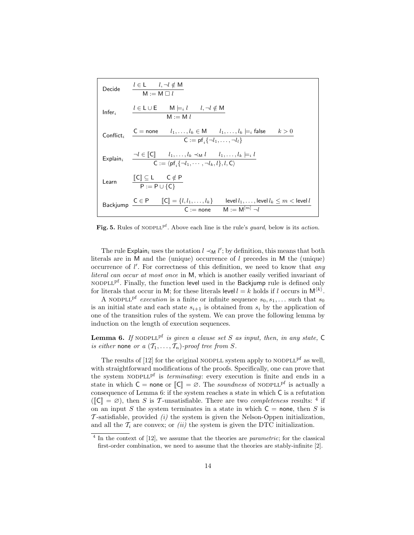| Decide     | $\frac{l \in L \qquad l, \neg l \notin M}{M := M \Box l}$                                                                                                                                                                                 |
|------------|-------------------------------------------------------------------------------------------------------------------------------------------------------------------------------------------------------------------------------------------|
| Infer $_i$ | $l \in L \cup E$ $M \models_i l$ $l, \neg l \notin M$<br>$M := M l$                                                                                                                                                                       |
|            | Conflict <sub>i</sub> $C = \text{none}$ $l_1, , l_k \in M$ $l_1, , l_k \models_i \text{false}$ $k > 0$<br>$C = \text{nf} \cdot l - l_1$ $-l_1$<br>$C := pf_i \{ \neg l_1, \ldots, \neg l_l \}$                                            |
|            | Explain <sub>i</sub> $\frac{\neg l \in \llbracket \mathsf{C} \rrbracket \quad l_1, \dots, l_k \prec_M l \quad l_1, \dots, l_k \models_i l}{\mathsf{C} := \langle \mathsf{pf}_i \{\neg l_1, \dots, \neg l_k, l \}, l, \mathsf{C} \rangle}$ |
| Learn      | $\underbrace{\llbracket \mathsf{C} \rrbracket \subseteq \mathsf{L} \qquad \mathsf{C} \notin \mathsf{P}}_{\mathsf{P} \; := \; \mathsf{P} \; \cup \; \{\mathsf{C}\}}$                                                                       |
|            | Backjump $C \in P$ $[C] = \{l, l_1, \ldots, l_k\}$ level $l_1, \ldots,$ level $l_k \leq m <$ level $l$<br>$C :=$ none $M := M^{[m]} - l$                                                                                                  |

Fig. 5. Rules of NODPLL<sup>pf</sup>. Above each line is the rule's *quard*, below is its *action*.

The rule Explain<sub>i</sub> uses the notation  $l \prec_M l'$ ; by definition, this means that both literals are in M and the (unique) occurrence of  $l$  precedes in M the (unique) occurrence of  $l'$ . For correctness of this definition, we need to know that any literal can occur at most once in M, which is another easily verified invariant of  $NODPLL<sup>pf</sup>$ . Finally, the function level used in the Backjump rule is defined only for literals that occur in M; for these literals level  $l = k$  holds if l occurs in  $\mathsf{M}^{\langle k \rangle}$ .

A NODPLL<sup>pf</sup> execution is a finite or infinite sequence  $s_0, s_1, \ldots$  such that  $s_0$ is an initial state and each state  $s_{i+1}$  is obtained from  $s_i$  by the application of one of the transition rules of the system. We can prove the following lemma by induction on the length of execution sequences.

**Lemma 6.** If NODPLL<sup>pf</sup> is given a clause set S as input, then, in any state,  $C$ is either none or a  $(\mathcal{T}_1, \ldots, \mathcal{T}_n)$ -proof tree from S.

The results of  $[12]$  for the original NODPLL system apply to NODPLL<sup>pf</sup> as well, with straightforward modifications of the proofs. Specifically, one can prove that the system NODPLL<sup>pf</sup> is *terminating*: every execution is finite and ends in a state in which  $C =$  none or  $\|C\| = \emptyset$ . The *soundness* of NODPLL<sup>pf</sup> is actually a consequence of Lemma 6: if the system reaches a state in which C is a refutation ( $\llbracket \mathsf{C} \rrbracket = \varnothing$ ), then S is T-unsatisfiable. There are two *completeness* results: <sup>4</sup> if on an input S the system terminates in a state in which  $C =$  none, then S is  $\mathcal T$ -satisfiable, provided *(i)* the system is given the Nelson-Oppen initialization, and all the  $\mathcal{T}_i$  are convex; or *(ii)* the system is given the DTC initialization.

 $4$  In the context of [12], we assume that the theories are *parametric*; for the classical first-order combination, we need to assume that the theories are stably-infinite [2].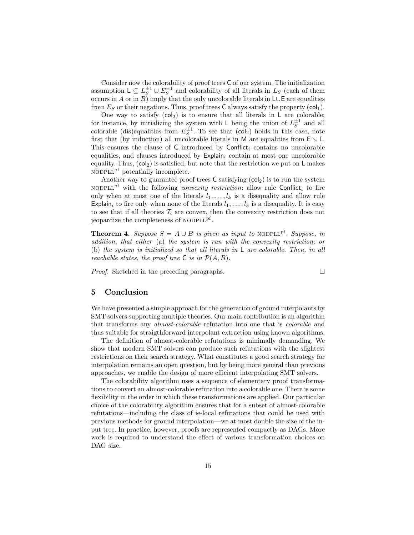Consider now the colorability of proof trees C of our system. The initialization assumption  $L \subseteq L_S^{\pm 1} \cup E_S^{\pm 1}$  and colorability of all literals in  $L_S$  (each of them occurs in A or in B) imply that the only uncolorable literals in L∪E are equalities from  $E_S$  or their negations. Thus, proof trees C always satisfy the property (col<sub>1</sub>).

One way to satisfy  $(col<sub>2</sub>)$  is to ensure that all literals in L are colorable; for instance, by initializing the system with L being the union of  $L_S^{\pm 1}$  and all colorable (dis)equalities from  $E_S^{\pm 1}$ . To see that (col<sub>2</sub>) holds in this case, note first that (by induction) all uncolorable literals in M are equalities from  $E \setminus L$ . This ensures the clause of  $C$  introduced by  $\text{Conflict}_i$  contains no uncolorable equalities, and clauses introduced by  $\mathsf{Explain}_i$  contain at most one uncolorable equality. Thus,  $(col_2)$  is satisfied, but note that the restriction we put on L makes nodpllpf potentially incomplete.

Another way to guarantee proof trees  $\mathsf C$  satisfying  $(\mathsf{col}_2)$  is to run the system NODPLL<sup>pf</sup> with the following *convexity restriction*: allow rule Conflict<sub>i</sub> to fire only when at most one of the literals  $l_1, \ldots, l_k$  is a disequality and allow rule Explain<sub>i</sub> to fire only when none of the literals  $l_1, \ldots, l_k$  is a disequality. It is easy to see that if all theories  $\mathcal{T}_i$  are convex, then the convexity restriction does not jeopardize the completeness of NODPLL<sup>pf</sup>.

**Theorem 4.** Suppose  $S = A \cup B$  is given as input to NODPLL<sup>pf</sup>. Suppose, in addition, that either (a) the system is run with the convexity restriction; or (b) the system is initialized so that all literals in  $\mathsf{L}$  are colorable. Then, in all reachable states, the proof tree  $\mathsf C$  is in  $\mathcal P(A, B)$ .

*Proof.* Sketched in the preceding paragraphs.  $\square$ 

### 5 Conclusion

We have presented a simple approach for the generation of ground interpolants by SMT solvers supporting multiple theories. Our main contribution is an algorithm that transforms any almost-colorable refutation into one that is colorable and thus suitable for straigthforward interpolant extraction using known algorithms.

The definition of almost-colorable refutations is minimally demanding. We show that modern SMT solvers can produce such refutations with the slightest restrictions on their search strategy. What constitutes a good search strategy for interpolation remains an open question, but by being more general than previous approaches, we enable the design of more efficient interpolating SMT solvers.

The colorability algorithm uses a sequence of elementary proof transformations to convert an almost-colorable refutation into a colorable one. There is some flexibility in the order in which these transformations are applied. Our particular choice of the colorability algorithm ensures that for a subset of almost-colorable refutations—including the class of ie-local refutations that could be used with previous methods for ground interpolation—we at most double the size of the input tree. In practice, however, proofs are represented compactly as DAGs. More work is required to understand the effect of various transformation choices on DAG size.